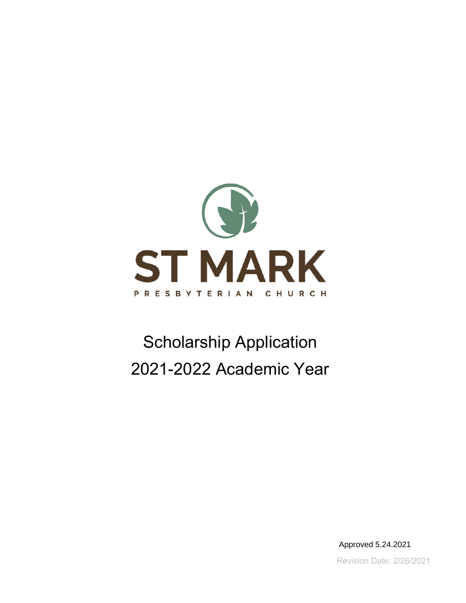

# Scholarship Application 2021-2022 Academic Year

Revision Date: 2/26/2021 Approved 5.24.2021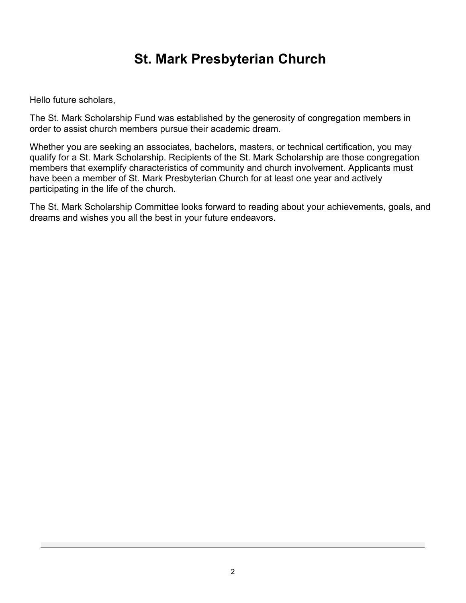# **St. Mark Presbyterian Church**

Hello future scholars,

The St. Mark Scholarship Fund was established by the generosity of congregation members in order to assist church members pursue their academic dream.

Whether you are seeking an associates, bachelors, masters, or technical certification, you may qualify for a St. Mark Scholarship. Recipients of the St. Mark Scholarship are those congregation members that exemplify characteristics of community and church involvement. Applicants must have been a member of St. Mark Presbyterian Church for at least one year and actively participating in the life of the church.

The St. Mark Scholarship Committee looks forward to reading about your achievements, goals, and dreams and wishes you all the best in your future endeavors.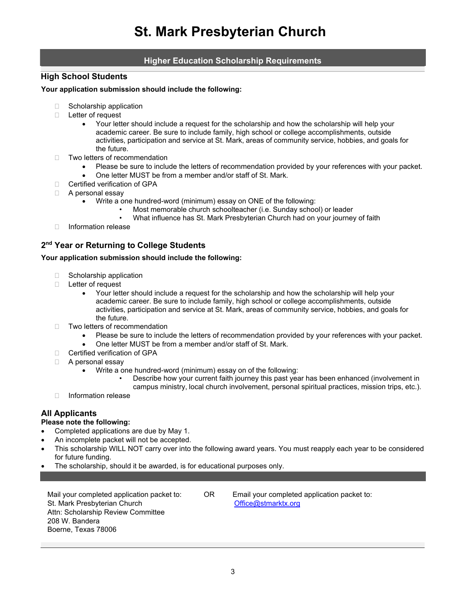### **Higher Education Scholarship Requirements**

#### **High School Students**

#### **Your application submission should include the following:**

- $\Box$  Scholarship application
- □ Letter of request
	- Your letter should include a request for the scholarship and how the scholarship will help your academic career. Be sure to include family, high school or college accomplishments, outside activities, participation and service at St. Mark, areas of community service, hobbies, and goals for the future.
- □ Two letters of recommendation
	- Please be sure to include the letters of recommendation provided by your references with your packet.
	- One letter MUST be from a member and/or staff of St. Mark.
- □ Certified verification of GPA
- □ A personal essay
	- Write a one hundred-word (minimum) essay on ONE of the following:
		- Most memorable church schoolteacher (i.e. Sunday school) or leader
		- What influence has St. Mark Presbyterian Church had on your journey of faith
- Information release

### **2nd Year or Returning to College Students**

#### **Your application submission should include the following:**

- $\Box$  Scholarship application
- □ Letter of request
	- Your letter should include a request for the scholarship and how the scholarship will help your academic career. Be sure to include family, high school or college accomplishments, outside activities, participation and service at St. Mark, areas of community service, hobbies, and goals for the future.
- □ Two letters of recommendation
	- Please be sure to include the letters of recommendation provided by your references with your packet.
	- One letter MUST be from a member and/or staff of St. Mark.
- □ Certified verification of GPA
- □ A personal essay
	- Write a one hundred-word (minimum) essay on of the following:
		- Describe how your current faith journey this past year has been enhanced (involvement in campus ministry, local church involvement, personal spiritual practices, mission trips, etc.).
- □ Information release

### **All Applicants**

#### **Please note the following:**

- Completed applications are due by May 1.
- An incomplete packet will not be accepted.
- This scholarship WILL NOT carry over into the following award years. You must reapply each year to be considered for future funding.
- The scholarship, should it be awarded, is for educational purposes only.

Mail your completed application packet to: OR Email your completed application packet to: St. Mark Presbyterian Church Attn: Scholarship Review Committee 208 W. Bandera Boerne, Texas 78006

[Office@stmarktx.org](mailto:Office@stmarktx.org)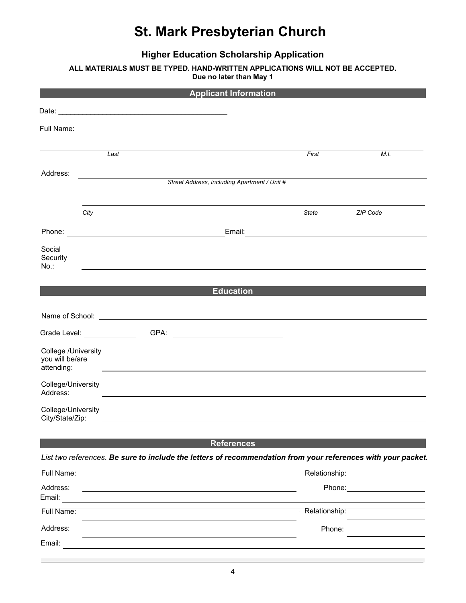# **St. Mark Presbyterian Church**

**Higher Education Scholarship Application**

**ALL MATERIALS MUST BE TYPED. HAND-WRITTEN APPLICATIONS WILL NOT BE ACCEPTED.**

**Due no later than May 1**

| <b>Applicant Information</b>                         |                                |      |                                                                                                                                                                                                                                      |               |                                                                                                              |  |
|------------------------------------------------------|--------------------------------|------|--------------------------------------------------------------------------------------------------------------------------------------------------------------------------------------------------------------------------------------|---------------|--------------------------------------------------------------------------------------------------------------|--|
|                                                      |                                |      |                                                                                                                                                                                                                                      |               |                                                                                                              |  |
| Full Name:                                           |                                |      |                                                                                                                                                                                                                                      |               |                                                                                                              |  |
|                                                      |                                |      |                                                                                                                                                                                                                                      |               |                                                                                                              |  |
|                                                      | Last                           |      |                                                                                                                                                                                                                                      | First         | M.I.                                                                                                         |  |
| Address:                                             |                                |      |                                                                                                                                                                                                                                      |               |                                                                                                              |  |
|                                                      |                                |      | Street Address, including Apartment / Unit #                                                                                                                                                                                         |               |                                                                                                              |  |
|                                                      | City                           |      |                                                                                                                                                                                                                                      | State         | ZIP Code                                                                                                     |  |
|                                                      |                                |      |                                                                                                                                                                                                                                      |               |                                                                                                              |  |
|                                                      |                                |      |                                                                                                                                                                                                                                      |               |                                                                                                              |  |
| Social<br>Security<br>No.:                           |                                |      |                                                                                                                                                                                                                                      |               |                                                                                                              |  |
|                                                      |                                |      |                                                                                                                                                                                                                                      |               |                                                                                                              |  |
|                                                      |                                |      | <b>Education</b>                                                                                                                                                                                                                     |               |                                                                                                              |  |
|                                                      |                                |      | Name of School: <u>contract the contract of the contract of the contract of the contract of the contract of the contract of the contract of the contract of the contract of the contract of the contract of the contract of the </u> |               |                                                                                                              |  |
|                                                      | Grade Level: <b>Example 20</b> | GPA: | <u> 1980 - John Stein, mars and de Brazilian (b. 1980)</u>                                                                                                                                                                           |               |                                                                                                              |  |
| College /University<br>you will be/are<br>attending: |                                |      |                                                                                                                                                                                                                                      |               |                                                                                                              |  |
| College/University<br>Address:                       |                                |      |                                                                                                                                                                                                                                      |               |                                                                                                              |  |
| College/University<br>City/State/Zip:                |                                |      |                                                                                                                                                                                                                                      |               |                                                                                                              |  |
|                                                      |                                |      |                                                                                                                                                                                                                                      |               |                                                                                                              |  |
|                                                      |                                |      | <b>References</b>                                                                                                                                                                                                                    |               |                                                                                                              |  |
|                                                      |                                |      |                                                                                                                                                                                                                                      |               | List two references. Be sure to include the letters of recommendation from your references with your packet. |  |
| Full Name:                                           |                                |      | <u> 2008 - Johann Stone, Amerikaansk politiker (* 1858)</u>                                                                                                                                                                          |               |                                                                                                              |  |
| Address:<br>Email:                                   |                                |      |                                                                                                                                                                                                                                      |               | Phone: <u>_______________________</u>                                                                        |  |
| Full Name:                                           |                                |      |                                                                                                                                                                                                                                      | Relationship: |                                                                                                              |  |
| Address:                                             |                                |      |                                                                                                                                                                                                                                      | Phone:        |                                                                                                              |  |
| Email:                                               |                                |      |                                                                                                                                                                                                                                      |               |                                                                                                              |  |